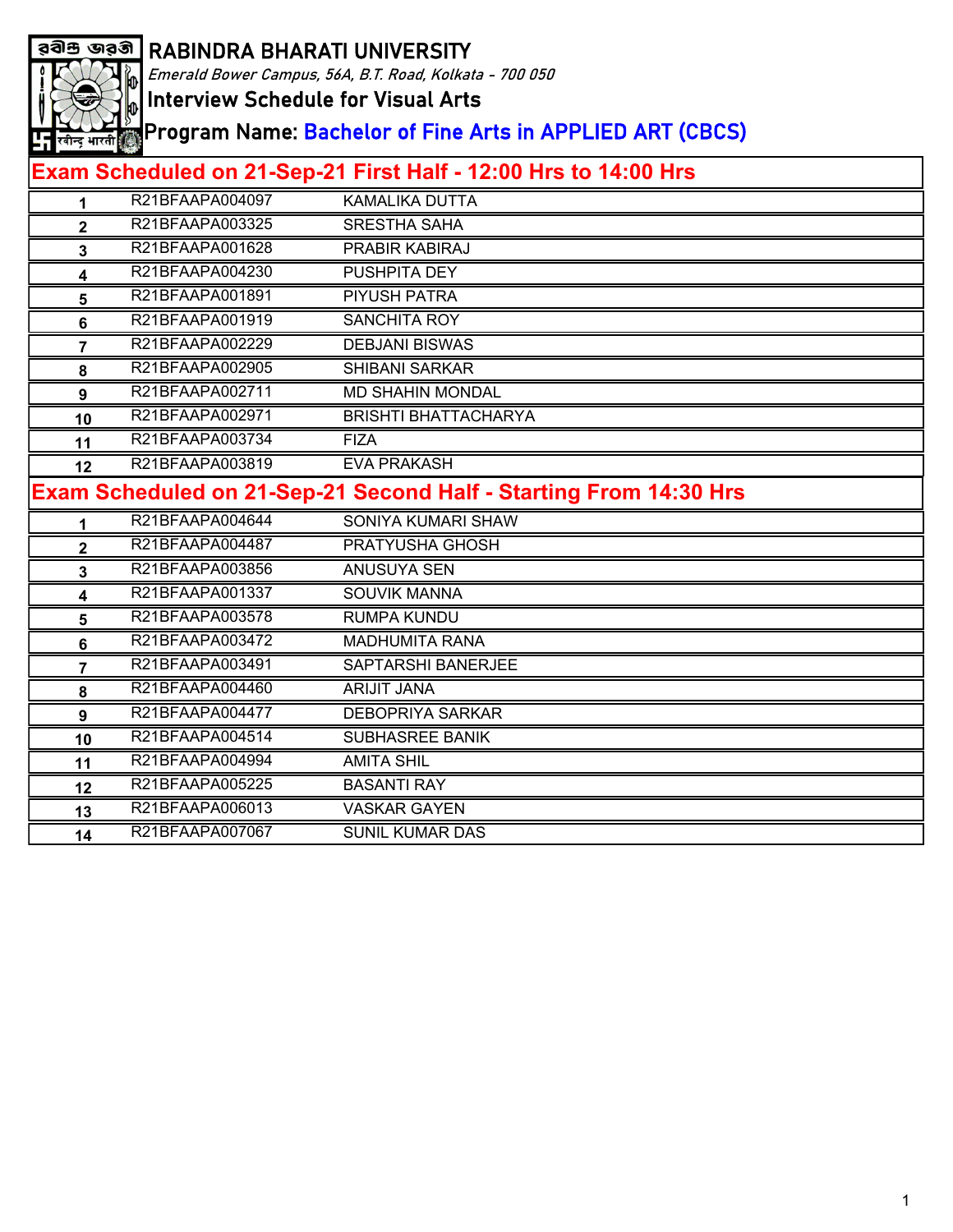

Emerald Bower Campus, 56A, B.T. Road, Kolkata - 700 050

Interview Schedule for Visual Arts

Program Name: Bachelor of Fine Arts in APPLIED ART (CBCS)

| 1              | R21BFAAPA004097                                                          | KAMALIKA DUTTA              |  |
|----------------|--------------------------------------------------------------------------|-----------------------------|--|
| $\overline{2}$ | R21BFAAPA003325                                                          | <b>SRESTHA SAHA</b>         |  |
| 3              | R21BFAAPA001628                                                          | PRABIR KABIRAJ              |  |
| 4              | R21BFAAPA004230                                                          | PUSHPITA DEY                |  |
| 5              | R21BFAAPA001891                                                          | PIYUSH PATRA                |  |
| 6              | R21BFAAPA001919                                                          | <b>SANCHITA ROY</b>         |  |
| $\overline{7}$ | R21BFAAPA002229                                                          | <b>DEBJANI BISWAS</b>       |  |
| 8              | R21BFAAPA002905                                                          | <b>SHIBANI SARKAR</b>       |  |
| 9              | R21BFAAPA002711                                                          | <b>MD SHAHIN MONDAL</b>     |  |
| 10             | R21BFAAPA002971                                                          | <b>BRISHTI BHATTACHARYA</b> |  |
| 11             | R21BFAAPA003734                                                          | <b>FIZA</b>                 |  |
| 12             | R21BFAAPA003819                                                          | <b>EVA PRAKASH</b>          |  |
|                | <b>Exam Scheduled on 21-Sep-21 Second Half - Starting From 14:30 Hrs</b> |                             |  |
| 1              | R21BFAAPA004644                                                          | SONIYA KUMARI SHAW          |  |
| $\overline{2}$ | R21BFAAPA004487                                                          | PRATYUSHA GHOSH             |  |
| 3              | R21BFAAPA003856                                                          | ANUSUYA SEN                 |  |
| 4              | R21BFAAPA001337                                                          | <b>SOUVIK MANNA</b>         |  |
| 5              | R21BFAAPA003578                                                          | <b>RUMPA KUNDU</b>          |  |
| 6              | R21BFAAPA003472                                                          | <b>MADHUMITA RANA</b>       |  |
| 7              | R21BFAAPA003491                                                          | SAPTARSHI BANERJEE          |  |
| 8              | R21BFAAPA004460                                                          | <b>ARIJIT JANA</b>          |  |
| 9              | R21BFAAPA004477                                                          | <b>DEBOPRIYA SARKAR</b>     |  |
| 10             | R21BFAAPA004514                                                          | SUBHASREE BANIK             |  |
| 11             | R21BFAAPA004994                                                          | <b>AMITA SHIL</b>           |  |
| 12             | R21BFAAPA005225                                                          | <b>BASANTI RAY</b>          |  |
| 13             | R21BFAAPA006013                                                          | <b>VASKAR GAYEN</b>         |  |
| 14             | R21BFAAPA007067                                                          | <b>SUNIL KUMAR DAS</b>      |  |
|                |                                                                          |                             |  |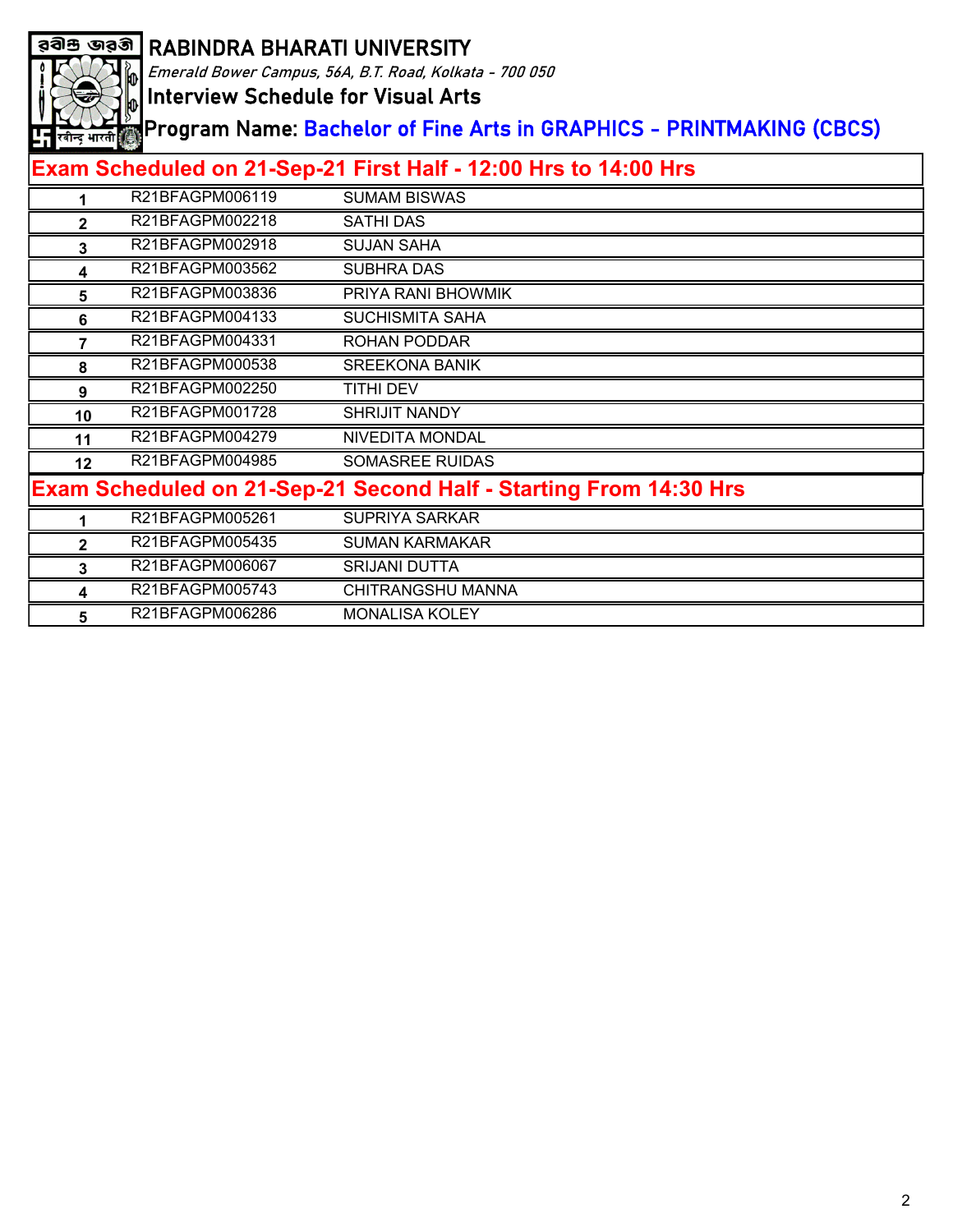

Emerald Bower Campus, 56A, B.T. Road, Kolkata - 700 050

Interview Schedule for Visual Arts

Program Name: Bachelor of Fine Arts in GRAPHICS - PRINTMAKING (CBCS)

|              | R21BFAGPM006119 | <b>SUMAM BISWAS</b>                                                      |
|--------------|-----------------|--------------------------------------------------------------------------|
| 2            | R21BFAGPM002218 | <b>SATHI DAS</b>                                                         |
| 3            | R21BFAGPM002918 | <b>SUJAN SAHA</b>                                                        |
| 4            | R21BFAGPM003562 | <b>SUBHRA DAS</b>                                                        |
| 5            | R21BFAGPM003836 | PRIYA RANI BHOWMIK                                                       |
| 6            | R21BFAGPM004133 | <b>SUCHISMITA SAHA</b>                                                   |
| 7            | R21BFAGPM004331 | ROHAN PODDAR                                                             |
| 8            | R21BFAGPM000538 | <b>SREEKONA BANIK</b>                                                    |
| 9            | R21BFAGPM002250 | TITHI DEV                                                                |
| 10           | R21BFAGPM001728 | <b>SHRIJIT NANDY</b>                                                     |
| 11           | R21BFAGPM004279 | NIVEDITA MONDAL                                                          |
| 12           | R21BFAGPM004985 | <b>SOMASREE RUIDAS</b>                                                   |
|              |                 | <b>Exam Scheduled on 21-Sep-21 Second Half - Starting From 14:30 Hrs</b> |
|              | R21BFAGPM005261 | <b>SUPRIYA SARKAR</b>                                                    |
| $\mathbf{2}$ | R21BFAGPM005435 | <b>SUMAN KARMAKAR</b>                                                    |
| 3            | R21BFAGPM006067 | <b>SRIJANI DUTTA</b>                                                     |
| 4            | R21BFAGPM005743 | CHITRANGSHU MANNA                                                        |
| 5            | R21BFAGPM006286 | <b>MONALISA KOLEY</b>                                                    |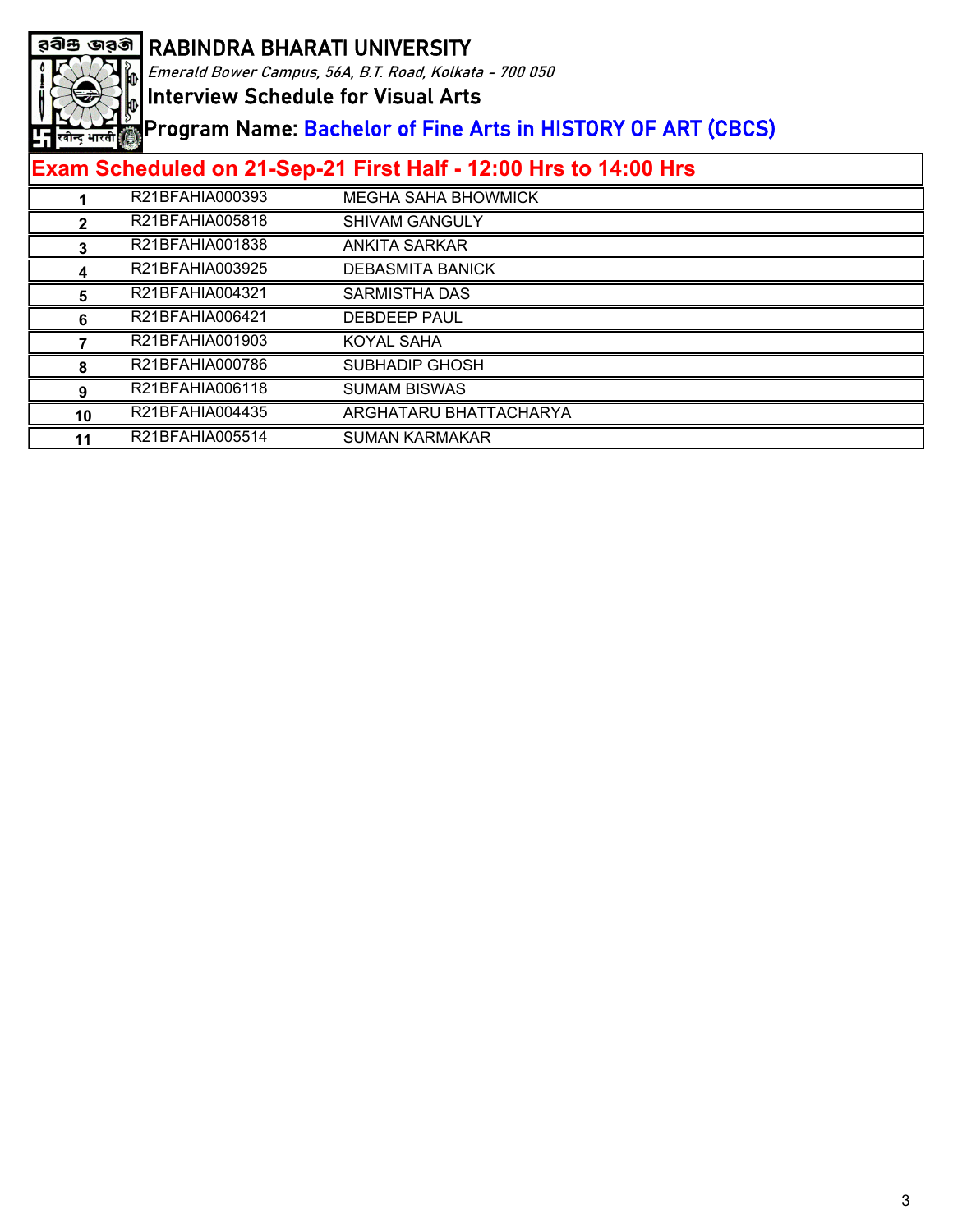

Emerald Bower Campus, 56A, B.T. Road, Kolkata - 700 050

Interview Schedule for Visual Arts

Program Name: Bachelor of Fine Arts in HISTORY OF ART (CBCS)

|    | R21BFAHIA000393 | <b>MEGHA SAHA BHOWMICK</b> |
|----|-----------------|----------------------------|
|    | R21BFAHIA005818 | <b>SHIVAM GANGULY</b>      |
|    | R21BFAHIA001838 | ANKITA SARKAR              |
|    | R21BFAHIA003925 | <b>DEBASMITA BANICK</b>    |
|    | R21BFAHIA004321 | SARMISTHA DAS              |
|    | R21BFAHIA006421 | DEBDEEP PAUL               |
|    | R21BFAHIA001903 | KOYAL SAHA                 |
|    | R21BFAHIA000786 | SUBHADIP GHOSH             |
|    | R21BFAHIA006118 | <b>SUMAM BISWAS</b>        |
| 10 | R21BFAHIA004435 | ARGHATARU BHATTACHARYA     |
| 11 | R21BFAHIA005514 | <b>SUMAN KARMAKAR</b>      |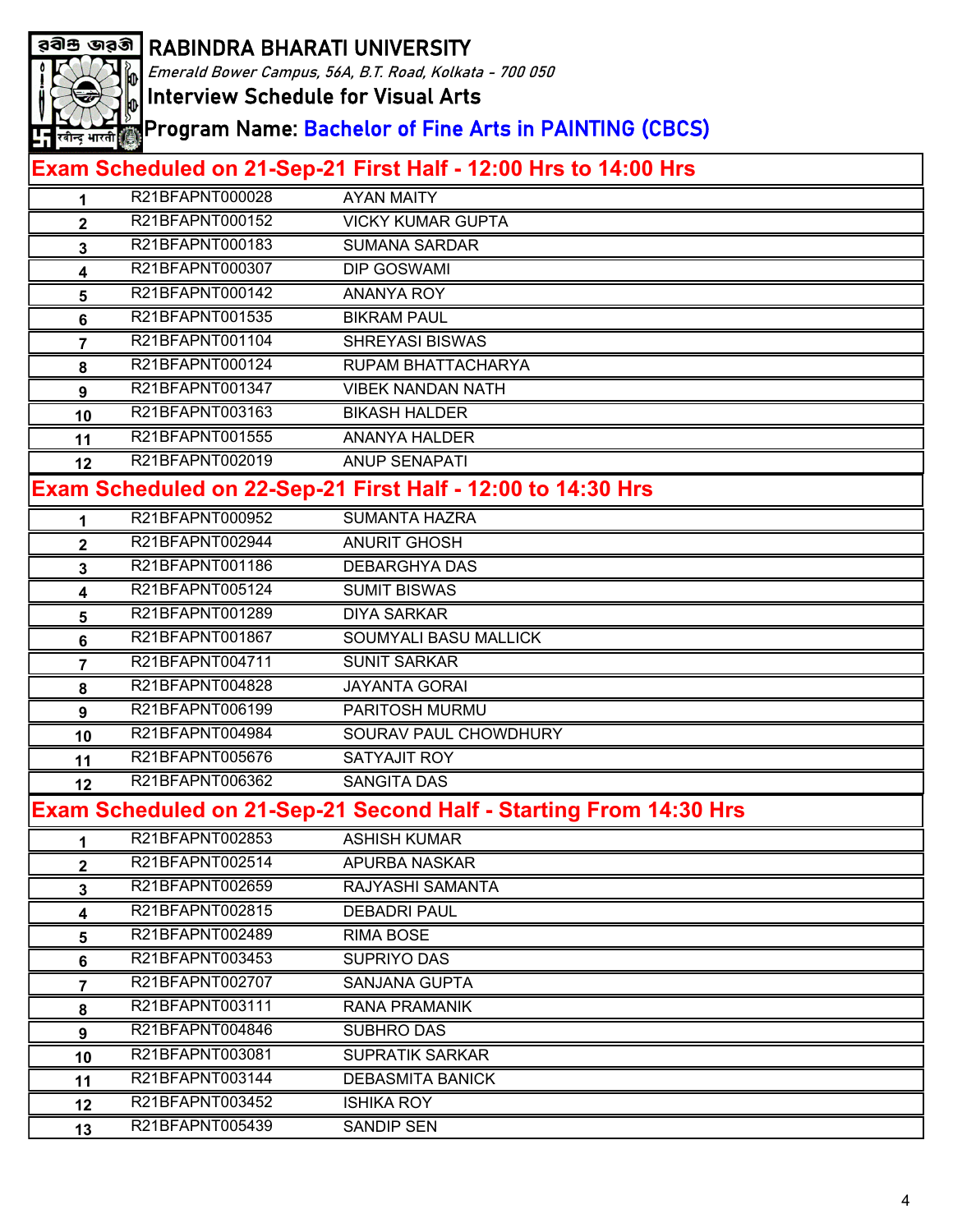|                                                         | <u>a়ৰীশু জৱৰী  </u> RABINDRA BHARATI UNIVERSITY |                                                                          |
|---------------------------------------------------------|--------------------------------------------------|--------------------------------------------------------------------------|
| Emerald Bower Campus, 56A, B.T. Road, Kolkata - 700 050 |                                                  |                                                                          |
|                                                         |                                                  | <b>Interview Schedule for Visual Arts</b>                                |
|                                                         |                                                  | Program Name: <mark>Bachelor of Fine Arts in PAINTING (CBCS)</mark>      |
| <mark>- न</mark> रबीन्द्र भारती ∰े                      |                                                  |                                                                          |
|                                                         |                                                  | Exam Scheduled on 21-Sep-21 First Half - 12:00 Hrs to 14:00 Hrs          |
| 1                                                       | R21BFAPNT000028                                  | <b>AYAN MAITY</b>                                                        |
| $\overline{2}$                                          | R21BFAPNT000152                                  | <b>VICKY KUMAR GUPTA</b>                                                 |
| 3                                                       | R21BFAPNT000183                                  | <b>SUMANA SARDAR</b>                                                     |
| 4                                                       | R21BFAPNT000307                                  | <b>DIP GOSWAMI</b>                                                       |
| 5                                                       | R21BFAPNT000142                                  | <b>ANANYA ROY</b>                                                        |
| 6                                                       | R21BFAPNT001535                                  | <b>BIKRAM PAUL</b>                                                       |
| 7                                                       | R21BFAPNT001104                                  | <b>SHREYASI BISWAS</b>                                                   |
| 8                                                       | R21BFAPNT000124                                  | RUPAM BHATTACHARYA                                                       |
| 9                                                       | R21BFAPNT001347                                  | <b>VIBEK NANDAN NATH</b>                                                 |
| 10                                                      | R21BFAPNT003163                                  | <b>BIKASH HALDER</b>                                                     |
| 11                                                      | R21BFAPNT001555                                  | <b>ANANYA HALDER</b>                                                     |
| 12                                                      | R21BFAPNT002019                                  | <b>ANUP SENAPATI</b>                                                     |
|                                                         |                                                  | Exam Scheduled on 22-Sep-21 First Half - 12:00 to 14:30 Hrs              |
| 1                                                       | R21BFAPNT000952                                  | <b>SUMANTA HAZRA</b>                                                     |
| $\mathbf{2}$                                            | R21BFAPNT002944                                  | <b>ANURIT GHOSH</b>                                                      |
| 3                                                       | R21BFAPNT001186                                  | <b>DEBARGHYA DAS</b>                                                     |
| 4                                                       | R21BFAPNT005124                                  | <b>SUMIT BISWAS</b>                                                      |
| 5                                                       | R21BFAPNT001289                                  | <b>DIYA SARKAR</b>                                                       |
| 6                                                       | R21BFAPNT001867                                  | <b>SOUMYALI BASU MALLICK</b>                                             |
| 7                                                       | R21BFAPNT004711                                  | <b>SUNIT SARKAR</b>                                                      |
| 8                                                       | R21BFAPNT004828                                  | <b>JAYANTA GORAI</b>                                                     |
| 9                                                       | R21BFAPNT006199                                  | PARITOSH MURMU                                                           |
| 10                                                      | R21BFAPNT004984                                  | SOURAV PAUL CHOWDHURY                                                    |
| 11                                                      | R21BFAPNT005676                                  | <b>SATYAJIT ROY</b>                                                      |
| 12                                                      | R21BFAPNT006362                                  | <b>SANGITA DAS</b>                                                       |
|                                                         |                                                  | <b>Exam Scheduled on 21-Sep-21 Second Half - Starting From 14:30 Hrs</b> |
|                                                         | R21BFAPNT002853                                  | <b>ASHISH KUMAR</b>                                                      |
| $\mathbf{2}$                                            | R21BFAPNT002514                                  | APURBA NASKAR                                                            |
| $\mathbf{3}$                                            | R21BFAPNT002659                                  | RAJYASHI SAMANTA                                                         |
| 4                                                       | R21BFAPNT002815                                  | <b>DEBADRI PAUL</b>                                                      |
| 5                                                       | R21BFAPNT002489                                  | <b>RIMA BOSE</b>                                                         |
| 6                                                       | R21BFAPNT003453                                  | SUPRIYO DAS                                                              |
| $\overline{7}$                                          | R21BFAPNT002707                                  | <b>SANJANA GUPTA</b>                                                     |
| 8                                                       | R21BFAPNT003111                                  | <b>RANA PRAMANIK</b>                                                     |
| 9                                                       | R21BFAPNT004846                                  | <b>SUBHRO DAS</b>                                                        |
| 10                                                      | R21BFAPNT003081                                  | <b>SUPRATIK SARKAR</b>                                                   |
| 11                                                      | R21BFAPNT003144                                  | <b>DEBASMITA BANICK</b>                                                  |
| 12                                                      | R21BFAPNT003452                                  | <b>ISHIKA ROY</b>                                                        |
| 13                                                      | R21BFAPNT005439                                  | <b>SANDIP SEN</b>                                                        |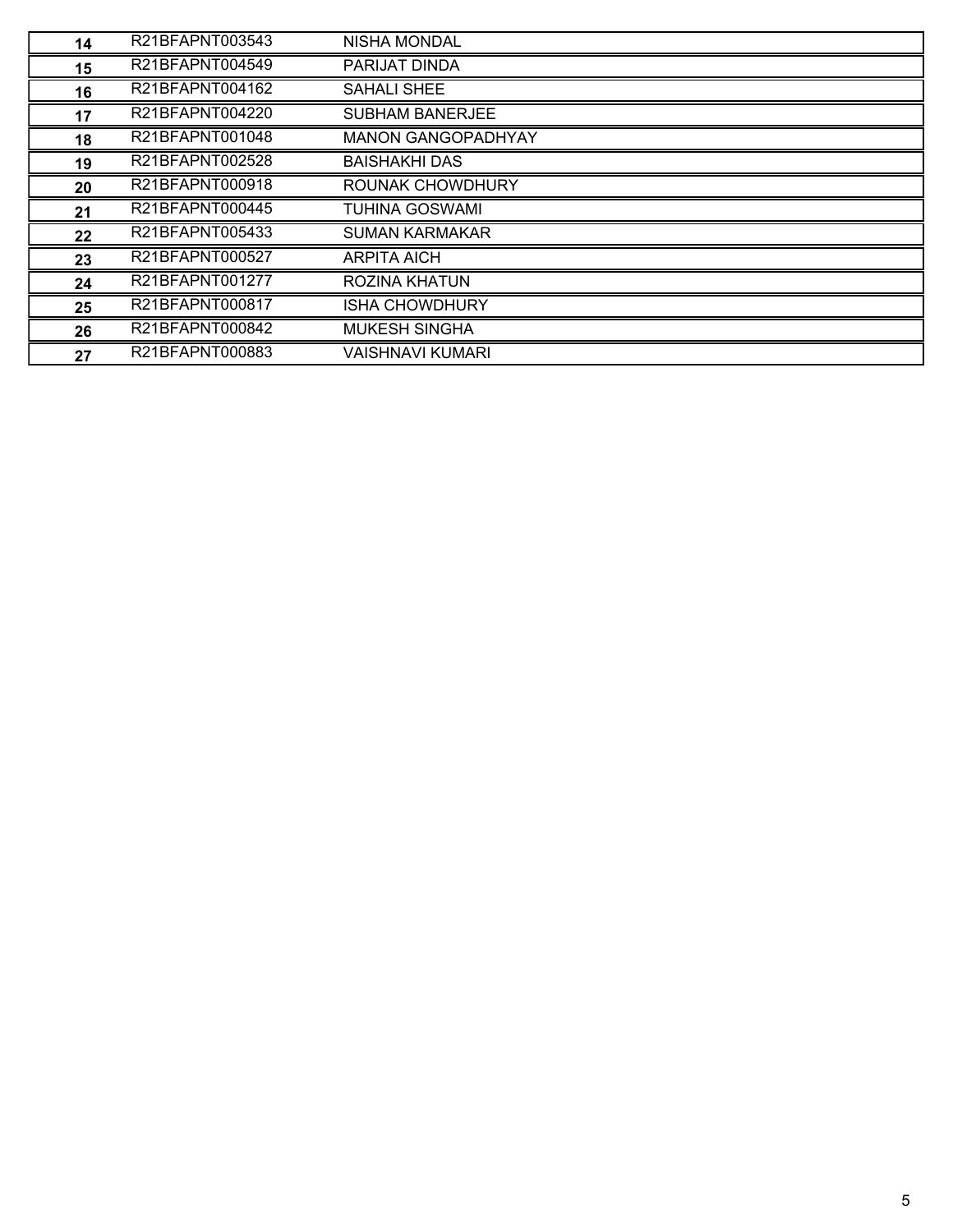| 14 | R21BFAPNT003543 | NISHA MONDAL              |
|----|-----------------|---------------------------|
| 15 | R21BFAPNT004549 | PARIJAT DINDA             |
| 16 | R21BFAPNT004162 | <b>SAHALI SHEE</b>        |
| 17 | R21BFAPNT004220 | <b>SUBHAM BANERJEE</b>    |
| 18 | R21BFAPNT001048 | <b>MANON GANGOPADHYAY</b> |
| 19 | R21BFAPNT002528 | <b>BAISHAKHI DAS</b>      |
| 20 | R21BFAPNT000918 | ROUNAK CHOWDHURY          |
| 21 | R21BFAPNT000445 | <b>TUHINA GOSWAMI</b>     |
| 22 | R21BFAPNT005433 | <b>SUMAN KARMAKAR</b>     |
| 23 | R21BFAPNT000527 | <b>ARPITA AICH</b>        |
| 24 | R21BFAPNT001277 | <b>ROZINA KHATUN</b>      |
| 25 | R21BFAPNT000817 | <b>ISHA CHOWDHURY</b>     |
| 26 | R21BFAPNT000842 | <b>MUKESH SINGHA</b>      |
| 27 | R21BFAPNT000883 | VAISHNAVI KUMARI          |